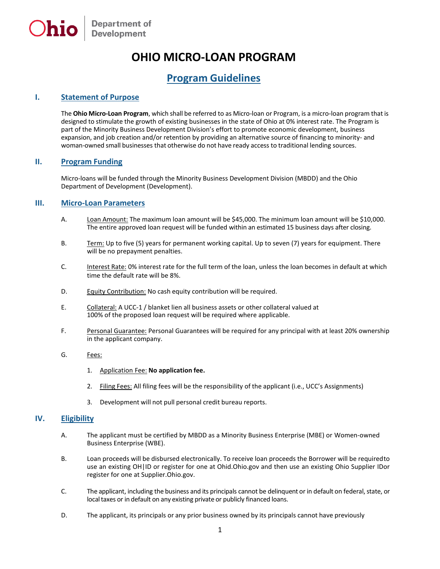# **OHIO MICRO-LOAN PROGRAM**

## **Program Guidelines**

### **I. Statement of Purpose**

The **Ohio Micro-Loan Program**, which shall be referred to as Micro-loan or Program, is a micro-loan program that is designed to stimulate the growth of existing businesses in the state of Ohio at 0% interest rate. The Program is part of the Minority Business Development Division's effort to promote economic development, business expansion, and job creation and/or retention by providing an alternative source of financing to minority- and woman-owned small businesses that otherwise do not have ready access to traditional lending sources.

### **II. Program Funding**

Micro-loans will be funded through the Minority Business Development Division (MBDD) and the Ohio Department of Development (Development).

#### **III. Micro-Loan Parameters**

- A. Loan Amount: The maximum loan amount will be \$45,000. The minimum loan amount will be \$10,000. The entire approved loan request will be funded within an estimated 15 business days after closing.
- B. Term: Up to five (5) years for permanent working capital. Up to seven (7) years for equipment. There will be no prepayment penalties.
- C. Interest Rate: 0% interest rate for the full term of the loan, unless the loan becomes in default at which time the default rate will be 8%.
- D. Equity Contribution: No cash equity contribution will be required.
- E. Collateral: A UCC-1 / blanket lien all business assets or other collateral valued at 100% of the proposed loan request will be required where applicable.
- F. Personal Guarantee: Personal Guarantees will be required for any principal with at least 20% ownership in the applicant company.
- G. Fees:
	- 1. Application Fee: **No application fee.**
	- 2. Filing Fees: All filing fees will be the responsibility of the applicant (i.e., UCC's Assignments)
	- 3. Development will not pull personal credit bureau reports.

#### **IV. Eligibility**

- A. The applicant must be certified by MBDD as a Minority Business Enterprise (MBE) or Women-owned Business Enterprise (WBE).
- B. Loan proceeds will be disbursed electronically. To receive loan proceeds the Borrower will be requiredto use an existing OH|ID or register for one at Ohid.Ohio.gov and then use an existing Ohio Supplier IDor register for one at Supplier.Ohio.gov.
- C. The applicant, including the business and its principals cannot be delinquent or in default on federal, state, or local taxes or in default on any existing private or publicly financed loans.
- D. The applicant, its principals or any prior business owned by its principals cannot have previously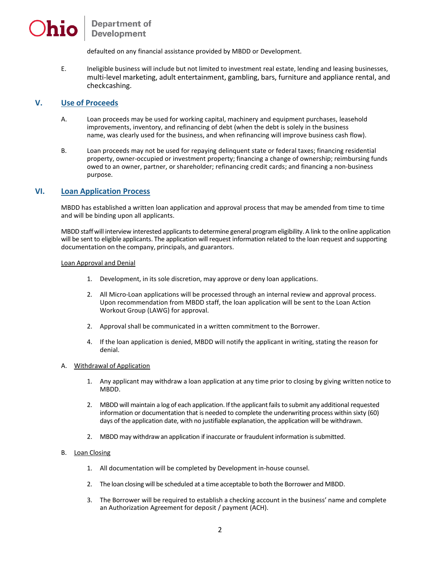# **Department of Development**

defaulted on any financial assistance provided by MBDD or Development.

E. Ineligible business will include but not limited to investment real estate, lending and leasing businesses, multi-level marketing, adult entertainment, gambling, bars, furniture and appliance rental, and checkcashing.

#### **V. Use of Proceeds**

- A. Loan proceeds may be used for working capital, machinery and equipment purchases, leasehold improvements, inventory, and refinancing of debt (when the debt is solely in the business name, was clearly used for the business, and when refinancing will improve business cash flow).
- B. Loan proceeds may not be used for repaying delinquent state or federal taxes; financing residential property, owner-occupied or investment property; financing a change of ownership; reimbursing funds owed to an owner, partner, or shareholder; refinancing credit cards; and financing a non-business purpose.

#### **VI. Loan Application Process**

MBDD has established a written loan application and approval process that may be amended from time to time and will be binding upon all applicants.

MBDD staffwill interview interested applicants to determine general programeligibility.A link to the online application will be sent to eligible applicants. The application will request information related to the loan request and supporting documentation on the company, principals, and guarantors.

#### Loan Approval and Denial

- 1. Development, in its sole discretion, may approve or deny loan applications.
- 2. All Micro-Loan applications will be processed through an internal review and approval process. Upon recommendation from MBDD staff, the loan application will be sent to the Loan Action Workout Group (LAWG) for approval.
- 2. Approval shall be communicated in a written commitment to the Borrower.
- 4. If the loan application is denied, MBDD will notify the applicant in writing, stating the reason for denial.
- A. Withdrawal of Application
	- 1. Any applicant may withdraw a loan application at any time prior to closing by giving written notice to MBDD.
	- 2. MBDD will maintain a log of each application. If the applicant fails to submit any additional requested information or documentation that is needed to complete the underwriting process within sixty (60) days of the application date, with no justifiable explanation, the application will be withdrawn.
	- 2. MBDD may withdraw an application if inaccurate or fraudulent information is submitted.

#### B. Loan Closing

- 1. All documentation will be completed by Development in-house counsel.
- 2. The loan closing will be scheduled at a time acceptable to both the Borrower and MBDD.
- 3. The Borrower will be required to establish a checking account in the business' name and complete an Authorization Agreement for deposit / payment (ACH).